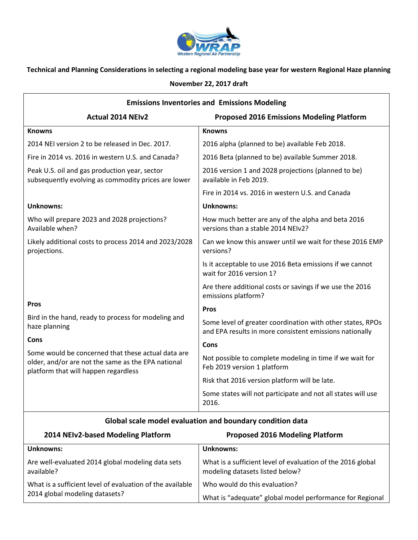

## **Technical and Planning Considerations in selecting a regional modeling base year for western Regional Haze planning**

## **November 22, 2017 draft**

| <b>Emissions Inventories and Emissions Modeling</b>                                                                                              |                                                                                                                       |  |
|--------------------------------------------------------------------------------------------------------------------------------------------------|-----------------------------------------------------------------------------------------------------------------------|--|
| <b>Actual 2014 NEIv2</b>                                                                                                                         | <b>Proposed 2016 Emissions Modeling Platform</b>                                                                      |  |
| <b>Knowns</b>                                                                                                                                    | <b>Knowns</b>                                                                                                         |  |
| 2014 NEI version 2 to be released in Dec. 2017.                                                                                                  | 2016 alpha (planned to be) available Feb 2018.                                                                        |  |
| Fire in 2014 vs. 2016 in western U.S. and Canada?                                                                                                | 2016 Beta (planned to be) available Summer 2018.                                                                      |  |
| Peak U.S. oil and gas production year, sector<br>subsequently evolving as commodity prices are lower                                             | 2016 version 1 and 2028 projections (planned to be)<br>available in Feb 2019.                                         |  |
|                                                                                                                                                  | Fire in 2014 vs. 2016 in western U.S. and Canada                                                                      |  |
| <b>Unknowns:</b>                                                                                                                                 | <b>Unknowns:</b>                                                                                                      |  |
| Who will prepare 2023 and 2028 projections?<br>Available when?                                                                                   | How much better are any of the alpha and beta 2016<br>versions than a stable 2014 NEIv2?                              |  |
| Likely additional costs to process 2014 and 2023/2028<br>projections.                                                                            | Can we know this answer until we wait for these 2016 EMP<br>versions?                                                 |  |
|                                                                                                                                                  | Is it acceptable to use 2016 Beta emissions if we cannot<br>wait for 2016 version 1?                                  |  |
|                                                                                                                                                  | Are there additional costs or savings if we use the 2016<br>emissions platform?                                       |  |
| <b>Pros</b>                                                                                                                                      | Pros                                                                                                                  |  |
| Bird in the hand, ready to process for modeling and<br>haze planning                                                                             | Some level of greater coordination with other states, RPOs<br>and EPA results in more consistent emissions nationally |  |
| Cons                                                                                                                                             | Cons                                                                                                                  |  |
| Some would be concerned that these actual data are<br>older, and/or are not the same as the EPA national<br>platform that will happen regardless | Not possible to complete modeling in time if we wait for<br>Feb 2019 version 1 platform                               |  |
|                                                                                                                                                  | Risk that 2016 version platform will be late.                                                                         |  |
|                                                                                                                                                  | Some states will not participate and not all states will use<br>2016.                                                 |  |

## **Global scale model evaluation and boundary condition data**

| 2014 NEIv2-based Modeling Platform                                                          | <b>Proposed 2016 Modeling Platform</b>                                                         |
|---------------------------------------------------------------------------------------------|------------------------------------------------------------------------------------------------|
| Unknowns:                                                                                   | <b>Unknowns:</b>                                                                               |
| Are well-evaluated 2014 global modeling data sets<br>available?                             | What is a sufficient level of evaluation of the 2016 global<br>modeling datasets listed below? |
| What is a sufficient level of evaluation of the available<br>2014 global modeling datasets? | Who would do this evaluation?                                                                  |
|                                                                                             | What is "adequate" global model performance for Regional                                       |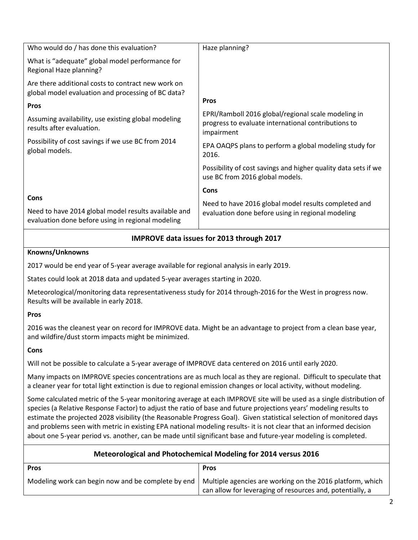| Who would do / has done this evaluation?                                                                  | Haze planning?                                                                                                           |
|-----------------------------------------------------------------------------------------------------------|--------------------------------------------------------------------------------------------------------------------------|
| What is "adequate" global model performance for<br>Regional Haze planning?                                |                                                                                                                          |
| Are there additional costs to contract new work on<br>global model evaluation and processing of BC data?  |                                                                                                                          |
| <b>Pros</b>                                                                                               | <b>Pros</b>                                                                                                              |
| Assuming availability, use existing global modeling<br>results after evaluation.                          | EPRI/Ramboll 2016 global/regional scale modeling in<br>progress to evaluate international contributions to<br>impairment |
| Possibility of cost savings if we use BC from 2014<br>global models.                                      | EPA OAQPS plans to perform a global modeling study for<br>2016.                                                          |
|                                                                                                           | Possibility of cost savings and higher quality data sets if we<br>use BC from 2016 global models.                        |
|                                                                                                           | Cons                                                                                                                     |
| Cons                                                                                                      | Need to have 2016 global model results completed and                                                                     |
| Need to have 2014 global model results available and<br>evaluation done before using in regional modeling | evaluation done before using in regional modeling                                                                        |

## **IMPROVE data issues for 2013 through 2017**

### **Knowns/Unknowns**

2017 would be end year of 5-year average available for regional analysis in early 2019.

States could look at 2018 data and updated 5-year averages starting in 2020.

Meteorological/monitoring data representativeness study for 2014 through-2016 for the West in progress now. Results will be available in early 2018.

#### **Pros**

2016 was the cleanest year on record for IMPROVE data. Might be an advantage to project from a clean base year, and wildfire/dust storm impacts might be minimized.

### **Cons**

Will not be possible to calculate a 5-year average of IMPROVE data centered on 2016 until early 2020.

Many impacts on IMPROVE species concentrations are as much local as they are regional. Difficult to speculate that a cleaner year for total light extinction is due to regional emission changes or local activity, without modeling.

Some calculated metric of the 5-year monitoring average at each IMPROVE site will be used as a single distribution of species (a Relative Response Factor) to adjust the ratio of base and future projections years' modeling results to estimate the projected 2028 visibility (the Reasonable Progress Goal). Given statistical selection of monitored days and problems seen with metric in existing EPA national modeling results- it is not clear that an informed decision about one 5-year period vs. another, can be made until significant base and future-year modeling is completed.

| Meteorological and Photochemical Modeling for 2014 versus 2016 |                                                                                                                        |  |
|----------------------------------------------------------------|------------------------------------------------------------------------------------------------------------------------|--|
| <b>Pros</b>                                                    | <b>Pros</b>                                                                                                            |  |
| Modeling work can begin now and be complete by end             | Multiple agencies are working on the 2016 platform, which<br>can allow for leveraging of resources and, potentially, a |  |